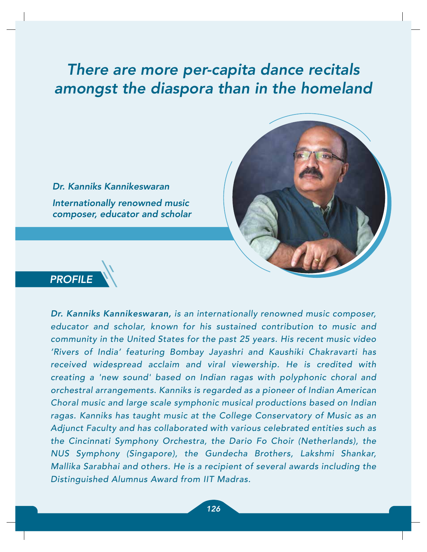# There are more per-capita dance recitals amongst the diaspora than in the homeland



Dr. Kanniks Kannikeswaran Internationally renowned music composer, educator and scholar



Dr. Kanniks Kannikeswaran, is an internationally renowned music composer, educator and scholar, known for his sustained contribution to music and community in the United States for the past 25 years. His recent music video 'Rivers of India' featuring Bombay Jayashri and Kaushiki Chakravarti has received widespread acclaim and viral viewership. He is credited with creating a 'new sound' based on Indian ragas with polyphonic choral and orchestral arrangements. Kanniks is regarded as a pioneer of Indian American Choral music and large scale symphonic musical productions based on Indian ragas. Kanniks has taught music at the College Conservatory of Music as an Adjunct Faculty and has collaborated with various celebrated entities such as the Cincinnati Symphony Orchestra, the Dario Fo Choir (Netherlands), the NUS Symphony (Singapore), the Gundecha Brothers, Lakshmi Shankar, Mallika Sarabhai and others. He is a recipient of several awards including the Distinguished Alumnus Award from IIT Madras.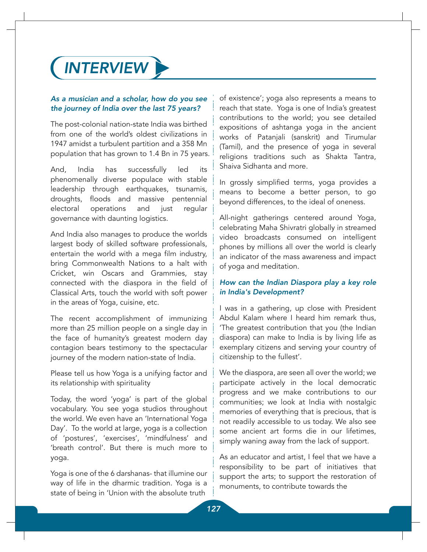

#### As a musician and a scholar, how do you see the journey of India over the last 75 years?

The post-colonial nation-state India was birthed from one of the world's oldest civilizations in 1947 amidst a turbulent partition and a 358 Mn population that has grown to 1.4 Bn in 75 years.

And, India has successfully led its phenomenally diverse populace with stable leadership through earthquakes, tsunamis, droughts, floods and massive pentennial electoral operations and just regular governance with daunting logistics.

And India also manages to produce the worlds largest body of skilled software professionals, entertain the world with a mega film industry, bring Commonwealth Nations to a halt with Cricket, win Oscars and Grammies, stay connected with the diaspora in the field of Classical Arts, touch the world with soft power in the areas of Yoga, cuisine, etc.

The recent accomplishment of immunizing more than 25 million people on a single day in the face of humanity's greatest modern day contagion bears testimony to the spectacular journey of the modern nation-state of India.

Please tell us how Yoga is a unifying factor and its relationship with spirituality

Today, the word 'yoga' is part of the global vocabulary. You see yoga studios throughout the world. We even have an 'International Yoga Day'. To the world at large, yoga is a collection of 'postures', 'exercises', 'mindfulness' and 'breath control'. But there is much more to yoga.

Yoga is one of the 6 darshanas- that illumine our way of life in the dharmic tradition. Yoga is a state of being in 'Union with the absolute truth

of existence'; yoga also represents a means to reach that state. Yoga is one of India's greatest contributions to the world; you see detailed expositions of ashtanga yoga in the ancient works of Patanjali (sanskrit) and Tirumular (Tamil), and the presence of yoga in several religions traditions such as Shakta Tantra, Shaiva Sidhanta and more.

In grossly simplified terms, yoga provides a means to become a better person, to go beyond differences, to the ideal of oneness.

All-night gatherings centered around Yoga, celebrating Maha Shivratri globally in streamed video broadcasts consumed on intelligent phones by millions all over the world is clearly an indicator of the mass awareness and impact of yoga and meditation.

### How can the Indian Diaspora play a key role in India's Development?

I was in a gathering, up close with President Abdul Kalam where I heard him remark thus, 'The greatest contribution that you (the Indian diaspora) can make to India is by living life as exemplary citizens and serving your country of citizenship to the fullest'.

We the diaspora, are seen all over the world; we participate actively in the local democratic progress and we make contributions to our communities; we look at India with nostalgic memories of everything that is precious, that is not readily accessible to us today. We also see some ancient art forms die in our lifetimes, simply waning away from the lack of support.

As an educator and artist, I feel that we have a responsibility to be part of initiatives that support the arts; to support the restoration of monuments, to contribute towards the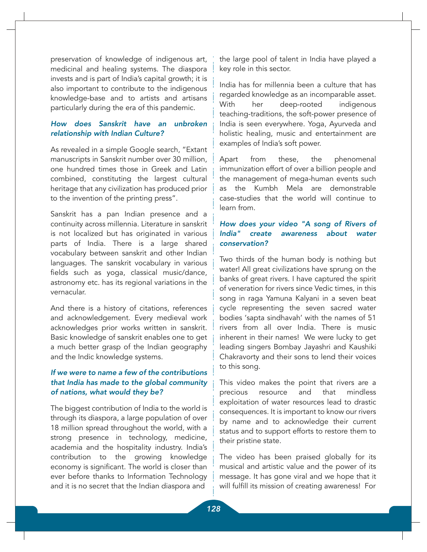preservation of knowledge of indigenous art, medicinal and healing systems. The diaspora invests and is part of India's capital growth; it is also important to contribute to the indigenous knowledge-base and to artists and artisans particularly during the era of this pandemic.

### How does Sanskrit have an unbroken relationship with Indian Culture?

As revealed in a simple Google search, "Extant manuscripts in Sanskrit number over 30 million, one hundred times those in Greek and Latin combined, constituting the largest cultural heritage that any civilization has produced prior to the invention of the printing press".

Sanskrit has a pan Indian presence and a continuity across millennia. Literature in sanskrit is not localized but has originated in various parts of India. There is a large shared vocabulary between sanskrit and other Indian languages. The sanskrit vocabulary in various fields such as yoga, classical music/dance, astronomy etc. has its regional variations in the vernacular.

And there is a history of citations, references and acknowledgement. Every medieval work acknowledges prior works written in sanskrit. Basic knowledge of sanskrit enables one to get a much better grasp of the Indian geography and the Indic knowledge systems.

# If we were to name a few of the contributions that India has made to the global community of nations, what would they be?

The biggest contribution of India to the world is through its diaspora, a large population of over 18 million spread throughout the world, with a strong presence in technology, medicine, academia and the hospitality industry. India's contribution to the growing knowledge economy is significant. The world is closer than ever before thanks to Information Technology and it is no secret that the Indian diaspora and

the large pool of talent in India have played a key role in this sector.

India has for millennia been a culture that has regarded knowledge as an incomparable asset. With her deep-rooted indigenous teaching-traditions, the soft-power presence of India is seen everywhere. Yoga, Ayurveda and holistic healing, music and entertainment are examples of India's soft power.

Apart from these, the phenomenal immunization effort of over a billion people and the management of mega-human events such as the Kumbh Mela are demonstrable case-studies that the world will continue to learn from.

# How does your video "A song of Rivers of India" create awareness about water conservation?

Two thirds of the human body is nothing but water! All great civilizations have sprung on the banks of great rivers. I have captured the spirit of veneration for rivers since Vedic times, in this song in raga Yamuna Kalyani in a seven beat cycle representing the seven sacred water bodies 'sapta sindhavah' with the names of 51 rivers from all over India. There is music inherent in their names! We were lucky to get leading singers Bombay Jayashri and Kaushiki Chakravorty and their sons to lend their voices to this song.

This video makes the point that rivers are a precious resource and that mindless exploitation of water resources lead to drastic consequences. It is important to know our rivers by name and to acknowledge their current status and to support efforts to restore them to their pristine state.

The video has been praised globally for its musical and artistic value and the power of its message. It has gone viral and we hope that it will fulfill its mission of creating awareness! For